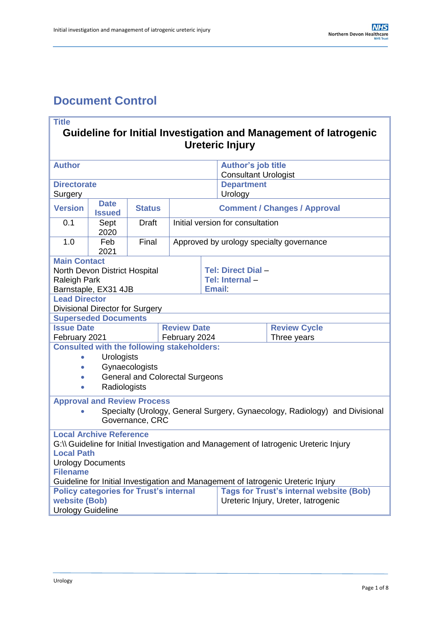# <span id="page-0-0"></span>**Document Control**

## **Title Guideline for Initial Investigation and Management of Iatrogenic Ureteric Injury**

| <b>Author</b>                                                                                                     |                                                   |                |                                  |                                          | <b>Author's job title</b><br><b>Consultant Urologist</b> |                                                |  |
|-------------------------------------------------------------------------------------------------------------------|---------------------------------------------------|----------------|----------------------------------|------------------------------------------|----------------------------------------------------------|------------------------------------------------|--|
| <b>Directorate</b>                                                                                                |                                                   |                |                                  |                                          | <b>Department</b>                                        |                                                |  |
| Surgery                                                                                                           |                                                   |                |                                  |                                          | Urology                                                  |                                                |  |
| <b>Date</b><br><b>Version</b><br><b>Status</b><br><b>Issued</b>                                                   |                                                   |                |                                  |                                          |                                                          | <b>Comment / Changes / Approval</b>            |  |
| 0.1                                                                                                               | Sept<br>2020                                      | <b>Draft</b>   | Initial version for consultation |                                          |                                                          |                                                |  |
| 1.0                                                                                                               | Feb<br>2021                                       | Final          |                                  | Approved by urology specialty governance |                                                          |                                                |  |
| <b>Main Contact</b>                                                                                               |                                                   |                |                                  |                                          |                                                          |                                                |  |
|                                                                                                                   | North Devon District Hospital                     |                |                                  |                                          | Tel: Direct Dial -                                       |                                                |  |
| <b>Raleigh Park</b>                                                                                               |                                                   |                |                                  |                                          | Tel: Internal-                                           |                                                |  |
|                                                                                                                   | Barnstaple, EX31 4JB                              |                |                                  |                                          | <b>Email</b>                                             |                                                |  |
| <b>Lead Director</b>                                                                                              |                                                   |                |                                  |                                          |                                                          |                                                |  |
|                                                                                                                   | Divisional Director for Surgery                   |                |                                  |                                          |                                                          |                                                |  |
|                                                                                                                   | <b>Superseded Documents</b>                       |                |                                  |                                          |                                                          |                                                |  |
| <b>Issue Date</b>                                                                                                 |                                                   |                | <b>Review Date</b>               |                                          |                                                          | <b>Review Cycle</b>                            |  |
| February 2021                                                                                                     |                                                   |                | February 2024                    |                                          |                                                          | Three years                                    |  |
|                                                                                                                   | <b>Consulted with the following stakeholders:</b> |                |                                  |                                          |                                                          |                                                |  |
| $\bullet$                                                                                                         | <b>Urologists</b>                                 |                |                                  |                                          |                                                          |                                                |  |
| $\bullet$                                                                                                         |                                                   | Gynaecologists |                                  |                                          |                                                          |                                                |  |
| <b>General and Colorectal Surgeons</b><br>$\bullet$                                                               |                                                   |                |                                  |                                          |                                                          |                                                |  |
| Radiologists<br>$\bullet$                                                                                         |                                                   |                |                                  |                                          |                                                          |                                                |  |
|                                                                                                                   |                                                   |                |                                  |                                          |                                                          |                                                |  |
| <b>Approval and Review Process</b><br>Specialty (Urology, General Surgery, Gynaecology, Radiology) and Divisional |                                                   |                |                                  |                                          |                                                          |                                                |  |
| Governance, CRC                                                                                                   |                                                   |                |                                  |                                          |                                                          |                                                |  |
| <b>Local Archive Reference</b>                                                                                    |                                                   |                |                                  |                                          |                                                          |                                                |  |
| G:\\ Guideline for Initial Investigation and Management of latrogenic Ureteric Injury                             |                                                   |                |                                  |                                          |                                                          |                                                |  |
| <b>Local Path</b>                                                                                                 |                                                   |                |                                  |                                          |                                                          |                                                |  |
| <b>Urology Documents</b>                                                                                          |                                                   |                |                                  |                                          |                                                          |                                                |  |
| <b>Filename</b>                                                                                                   |                                                   |                |                                  |                                          |                                                          |                                                |  |
| Guideline for Initial Investigation and Management of latrogenic Ureteric Injury                                  |                                                   |                |                                  |                                          |                                                          |                                                |  |
| <b>Policy categories for Trust's internal</b>                                                                     |                                                   |                |                                  |                                          |                                                          | <b>Tags for Trust's internal website (Bob)</b> |  |
| website (Bob)                                                                                                     |                                                   |                |                                  |                                          |                                                          | Ureteric Injury, Ureter, latrogenic            |  |
| <b>Urology Guideline</b>                                                                                          |                                                   |                |                                  |                                          |                                                          |                                                |  |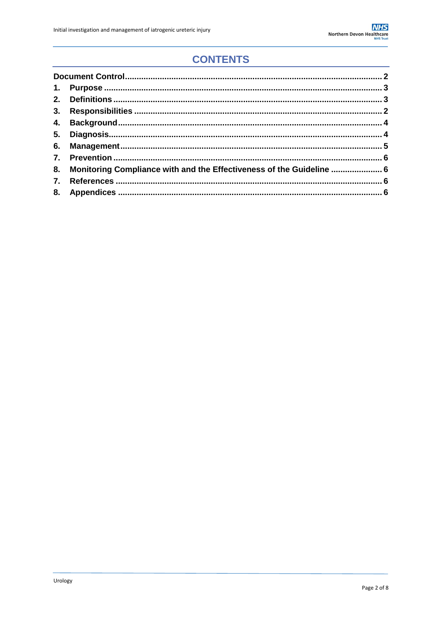# **CONTENTS**

| 8. Monitoring Compliance with and the Effectiveness of the Guideline  6 |  |
|-------------------------------------------------------------------------|--|
|                                                                         |  |
|                                                                         |  |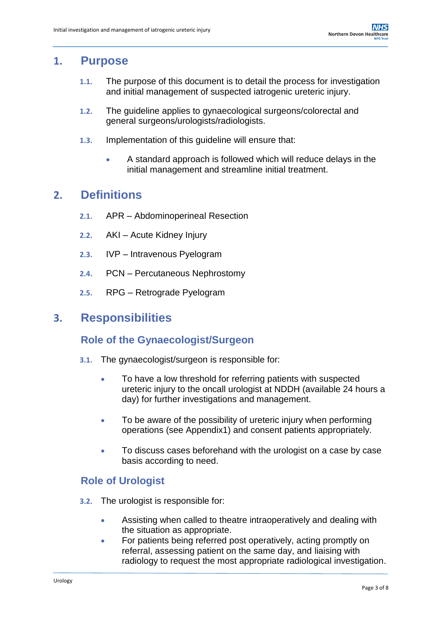## <span id="page-2-0"></span>**1. Purpose**

- **1.1.** The purpose of this document is to detail the process for investigation and initial management of suspected iatrogenic ureteric injury.
- **1.2.** The guideline applies to gynaecological surgeons/colorectal and general surgeons/urologists/radiologists.
- **1.3.** Implementation of this guideline will ensure that:
	- A standard approach is followed which will reduce delays in the initial management and streamline initial treatment.

## <span id="page-2-1"></span>**2. Definitions**

- **2.1.** APR Abdominoperineal Resection
- **2.2.** AKI Acute Kidney Injury
- **2.3.** IVP Intravenous Pyelogram
- **2.4.** PCN Percutaneous Nephrostomy
- **2.5.** RPG Retrograde Pyelogram

### <span id="page-2-2"></span>**3. Responsibilities**

### **Role of the Gynaecologist/Surgeon**

- **3.1.** The gynaecologist/surgeon is responsible for:
	- To have a low threshold for referring patients with suspected ureteric injury to the oncall urologist at NDDH (available 24 hours a day) for further investigations and management.
	- To be aware of the possibility of ureteric injury when performing operations (see Appendix1) and consent patients appropriately.
	- To discuss cases beforehand with the urologist on a case by case basis according to need.

### **Role of Urologist**

- **3.2.** The urologist is responsible for:
	- Assisting when called to theatre intraoperatively and dealing with the situation as appropriate.
	- For patients being referred post operatively, acting promptly on referral, assessing patient on the same day, and liaising with radiology to request the most appropriate radiological investigation.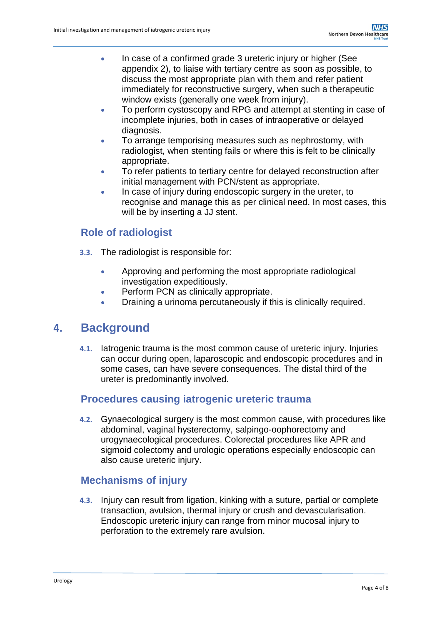- In case of a confirmed grade 3 ureteric injury or higher (See appendix 2), to liaise with tertiary centre as soon as possible, to discuss the most appropriate plan with them and refer patient immediately for reconstructive surgery, when such a therapeutic window exists (generally one week from injury).
- To perform cystoscopy and RPG and attempt at stenting in case of incomplete injuries, both in cases of intraoperative or delayed diagnosis.
- To arrange temporising measures such as nephrostomy, with radiologist, when stenting fails or where this is felt to be clinically appropriate.
- To refer patients to tertiary centre for delayed reconstruction after initial management with PCN/stent as appropriate.
- In case of injury during endoscopic surgery in the ureter, to recognise and manage this as per clinical need. In most cases, this will be by inserting a JJ stent.

### **Role of radiologist**

- **3.3.** The radiologist is responsible for:
	- Approving and performing the most appropriate radiological investigation expeditiously.
	- Perform PCN as clinically appropriate.
	- Draining a urinoma percutaneously if this is clinically required.

### **4. Background**

**4.1.** Iatrogenic trauma is the most common cause of ureteric injury. Injuries can occur during open, laparoscopic and endoscopic procedures and in some cases, can have severe consequences. The distal third of the ureter is predominantly involved.

### **Procedures causing iatrogenic ureteric trauma**

**4.2.** Gynaecological surgery is the most common cause, with procedures like abdominal, vaginal hysterectomy, salpingo-oophorectomy and urogynaecological procedures. Colorectal procedures like APR and sigmoid colectomy and urologic operations especially endoscopic can also cause ureteric injury.

#### **Mechanisms of injury**

**4.3.** Injury can result from ligation, kinking with a suture, partial or complete transaction, avulsion, thermal injury or crush and devascularisation. Endoscopic ureteric injury can range from minor mucosal injury to perforation to the extremely rare avulsion.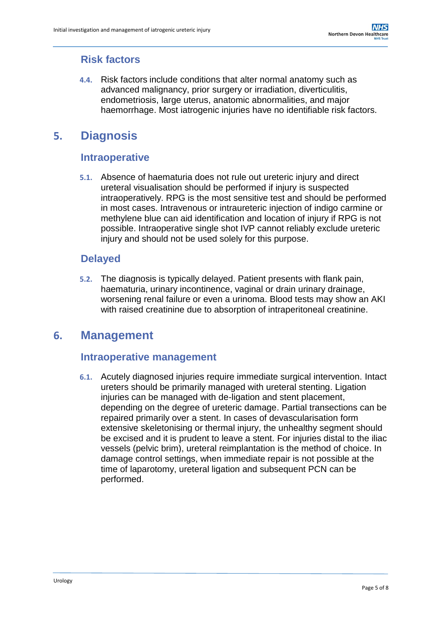## **Risk factors**

**4.4.** Risk factors include conditions that alter normal anatomy such as advanced malignancy, prior surgery or irradiation, diverticulitis, endometriosis, large uterus, anatomic abnormalities, and major haemorrhage. Most iatrogenic injuries have no identifiable risk factors.

## <span id="page-4-0"></span>**5. Diagnosis**

### **Intraoperative**

**5.1.** Absence of haematuria does not rule out ureteric injury and direct ureteral visualisation should be performed if injury is suspected intraoperatively. RPG is the most sensitive test and should be performed in most cases. Intravenous or intraureteric injection of indigo carmine or methylene blue can aid identification and location of injury if RPG is not possible. Intraoperative single shot IVP cannot reliably exclude ureteric injury and should not be used solely for this purpose.

### **Delayed**

**5.2.** The diagnosis is typically delayed. Patient presents with flank pain, haematuria, urinary incontinence, vaginal or drain urinary drainage, worsening renal failure or even a urinoma. Blood tests may show an AKI with raised creatinine due to absorption of intraperitoneal creatinine.

## **6. Management**

### **Intraoperative management**

**6.1.** Acutely diagnosed injuries require immediate surgical intervention. Intact ureters should be primarily managed with ureteral stenting. Ligation injuries can be managed with de-ligation and stent placement, depending on the degree of ureteric damage. Partial transections can be repaired primarily over a stent. In cases of devascularisation form extensive skeletonising or thermal injury, the unhealthy segment should be excised and it is prudent to leave a stent. For injuries distal to the iliac vessels (pelvic brim), ureteral reimplantation is the method of choice. In damage control settings, when immediate repair is not possible at the time of laparotomy, ureteral ligation and subsequent PCN can be performed.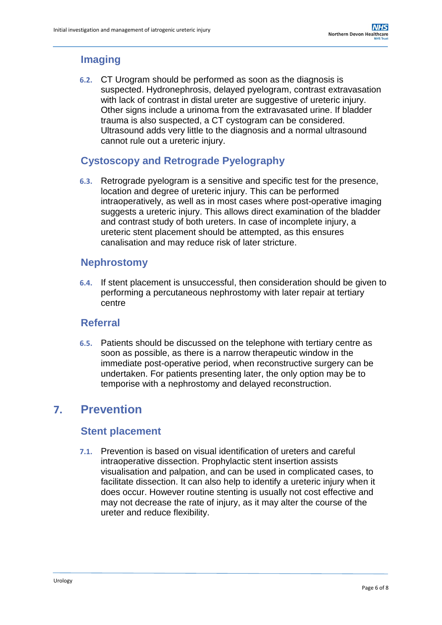## **Imaging**

**6.2.** CT Urogram should be performed as soon as the diagnosis is suspected. Hydronephrosis, delayed pyelogram, contrast extravasation with lack of contrast in distal ureter are suggestive of ureteric injury. Other signs include a urinoma from the extravasated urine. If bladder trauma is also suspected, a CT cystogram can be considered. Ultrasound adds very little to the diagnosis and a normal ultrasound cannot rule out a ureteric injury.

## **Cystoscopy and Retrograde Pyelography**

**6.3.** Retrograde pyelogram is a sensitive and specific test for the presence, location and degree of ureteric injury. This can be performed intraoperatively, as well as in most cases where post-operative imaging suggests a ureteric injury. This allows direct examination of the bladder and contrast study of both ureters. In case of incomplete injury, a ureteric stent placement should be attempted, as this ensures canalisation and may reduce risk of later stricture.

### **Nephrostomy**

**6.4.** If stent placement is unsuccessful, then consideration should be given to performing a percutaneous nephrostomy with later repair at tertiary centre

### **Referral**

**6.5.** Patients should be discussed on the telephone with tertiary centre as soon as possible, as there is a narrow therapeutic window in the immediate post-operative period, when reconstructive surgery can be undertaken. For patients presenting later, the only option may be to temporise with a nephrostomy and delayed reconstruction.

# **7. Prevention**

### **Stent placement**

**7.1.** Prevention is based on visual identification of ureters and careful intraoperative dissection. Prophylactic stent insertion assists visualisation and palpation, and can be used in complicated cases, to facilitate dissection. It can also help to identify a ureteric injury when it does occur. However routine stenting is usually not cost effective and may not decrease the rate of injury, as it may alter the course of the ureter and reduce flexibility.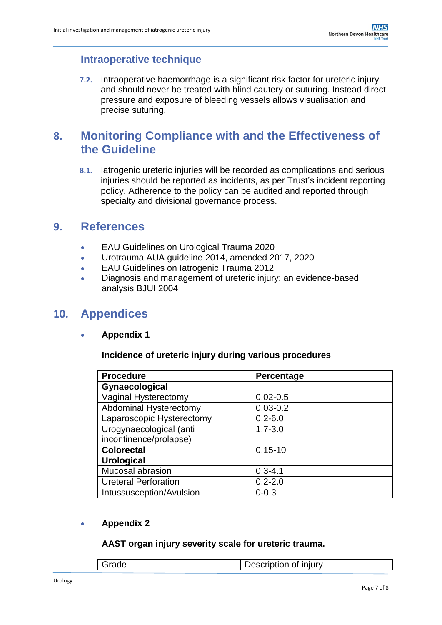### **Intraoperative technique**

**7.2.** Intraoperative haemorrhage is a significant risk factor for ureteric injury and should never be treated with blind cautery or suturing. Instead direct pressure and exposure of bleeding vessels allows visualisation and precise suturing.

## <span id="page-6-0"></span>**8. Monitoring Compliance with and the Effectiveness of the Guideline**

**8.1.** Iatrogenic ureteric injuries will be recorded as complications and serious injuries should be reported as incidents, as per Trust's incident reporting policy. Adherence to the policy can be audited and reported through specialty and divisional governance process.

## <span id="page-6-1"></span>**9. References**

- EAU Guidelines on Urological Trauma 2020
- Urotrauma AUA guideline 2014, amended 2017, 2020
- **EAU Guidelines on latrogenic Trauma 2012**
- Diagnosis and management of ureteric injury: an evidence-based analysis BJUI 2004

## <span id="page-6-2"></span>**10. Appendices**

**Appendix 1**

#### **Incidence of ureteric injury during various procedures**

| <b>Procedure</b>            | Percentage   |
|-----------------------------|--------------|
| Gynaecological              |              |
| Vaginal Hysterectomy        | $0.02 - 0.5$ |
| Abdominal Hysterectomy      | $0.03 - 0.2$ |
| Laparoscopic Hysterectomy   | $0.2 - 6.0$  |
| Urogynaecological (anti     | $1.7 - 3.0$  |
| incontinence/prolapse)      |              |
| <b>Colorectal</b>           | $0.15 - 10$  |
| <b>Urological</b>           |              |
| Mucosal abrasion            | $0.3 - 4.1$  |
| <b>Ureteral Perforation</b> | $0.2 - 2.0$  |
| Intussusception/Avulsion    | $0 - 0.3$    |

#### **Appendix 2**

#### **AAST organ injury severity scale for ureteric trauma.**

| Grade | Description of injury |
|-------|-----------------------|
|-------|-----------------------|